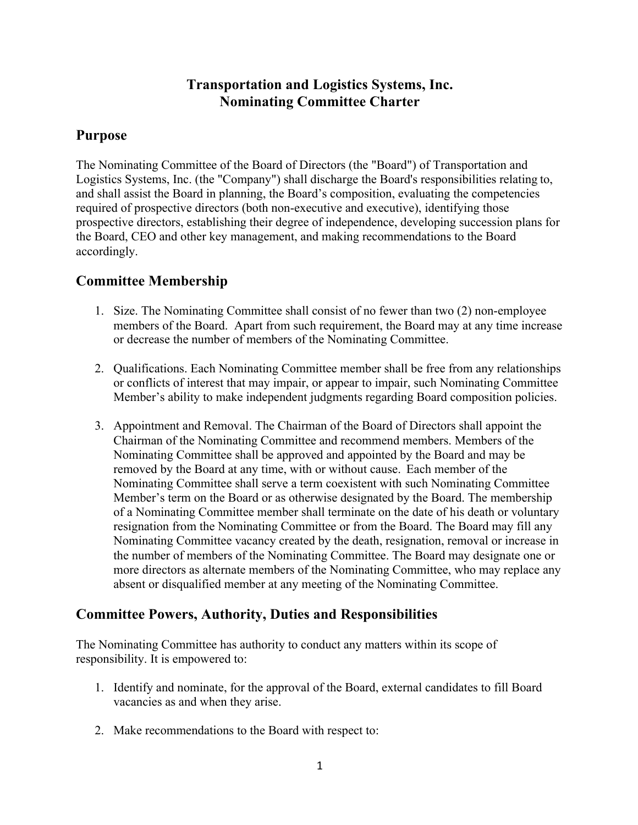# **Transportation and Logistics Systems, Inc. Nominating Committee Charter**

## **Purpose**

The Nominating Committee of the Board of Directors (the "Board") of Transportation and Logistics Systems, Inc. (the "Company") shall discharge the Board's responsibilities relating to, and shall assist the Board in planning, the Board's composition, evaluating the competencies required of prospective directors (both non-executive and executive), identifying those prospective directors, establishing their degree of independence, developing succession plans for the Board, CEO and other key management, and making recommendations to the Board accordingly.

## **Committee Membership**

- 1. Size. The Nominating Committee shall consist of no fewer than two (2) non-employee members of the Board. Apart from such requirement, the Board may at any time increase or decrease the number of members of the Nominating Committee.
- 2. Qualifications. Each Nominating Committee member shall be free from any relationships or conflicts of interest that may impair, or appear to impair, such Nominating Committee Member's ability to make independent judgments regarding Board composition policies.
- 3. Appointment and Removal. The Chairman of the Board of Directors shall appoint the Chairman of the Nominating Committee and recommend members. Members of the Nominating Committee shall be approved and appointed by the Board and may be removed by the Board at any time, with or without cause. Each member of the Nominating Committee shall serve a term coexistent with such Nominating Committee Member's term on the Board or as otherwise designated by the Board. The membership of a Nominating Committee member shall terminate on the date of his death or voluntary resignation from the Nominating Committee or from the Board. The Board may fill any Nominating Committee vacancy created by the death, resignation, removal or increase in the number of members of the Nominating Committee. The Board may designate one or more directors as alternate members of the Nominating Committee, who may replace any absent or disqualified member at any meeting of the Nominating Committee.

## **Committee Powers, Authority, Duties and Responsibilities**

The Nominating Committee has authority to conduct any matters within its scope of responsibility. It is empowered to:

- 1. Identify and nominate, for the approval of the Board, external candidates to fill Board vacancies as and when they arise.
- 2. Make recommendations to the Board with respect to: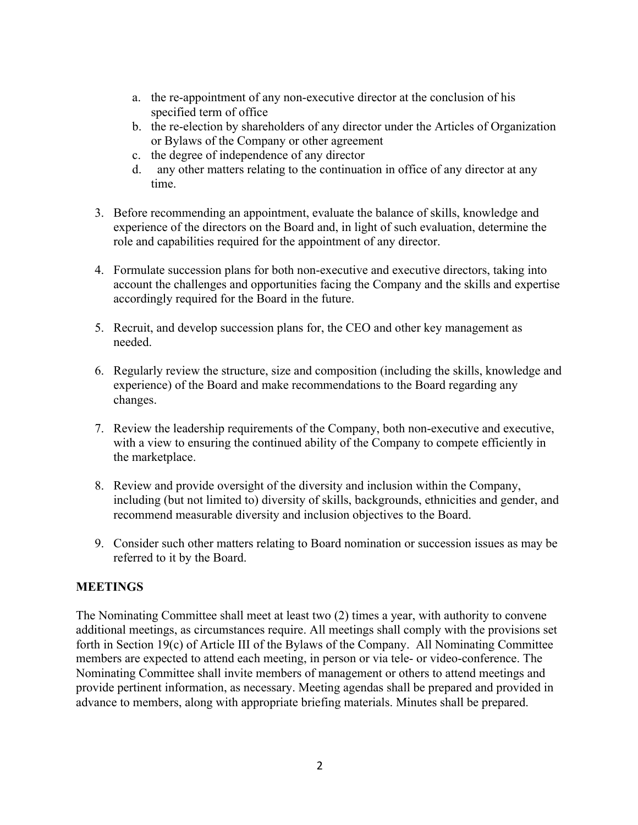- a. the re-appointment of any non-executive director at the conclusion of his specified term of office
- b. the re-election by shareholders of any director under the Articles of Organization or Bylaws of the Company or other agreement
- c. the degree of independence of any director
- d. any other matters relating to the continuation in office of any director at any time.
- 3. Before recommending an appointment, evaluate the balance of skills, knowledge and experience of the directors on the Board and, in light of such evaluation, determine the role and capabilities required for the appointment of any director.
- 4. Formulate succession plans for both non-executive and executive directors, taking into account the challenges and opportunities facing the Company and the skills and expertise accordingly required for the Board in the future.
- 5. Recruit, and develop succession plans for, the CEO and other key management as needed.
- 6. Regularly review the structure, size and composition (including the skills, knowledge and experience) of the Board and make recommendations to the Board regarding any changes.
- 7. Review the leadership requirements of the Company, both non-executive and executive, with a view to ensuring the continued ability of the Company to compete efficiently in the marketplace.
- 8. Review and provide oversight of the diversity and inclusion within the Company, including (but not limited to) diversity of skills, backgrounds, ethnicities and gender, and recommend measurable diversity and inclusion objectives to the Board.
- 9. Consider such other matters relating to Board nomination or succession issues as may be referred to it by the Board.

### **MEETINGS**

The Nominating Committee shall meet at least two (2) times a year, with authority to convene additional meetings, as circumstances require. All meetings shall comply with the provisions set forth in Section 19(c) of Article III of the Bylaws of the Company. All Nominating Committee members are expected to attend each meeting, in person or via tele- or video-conference. The Nominating Committee shall invite members of management or others to attend meetings and provide pertinent information, as necessary. Meeting agendas shall be prepared and provided in advance to members, along with appropriate briefing materials. Minutes shall be prepared.